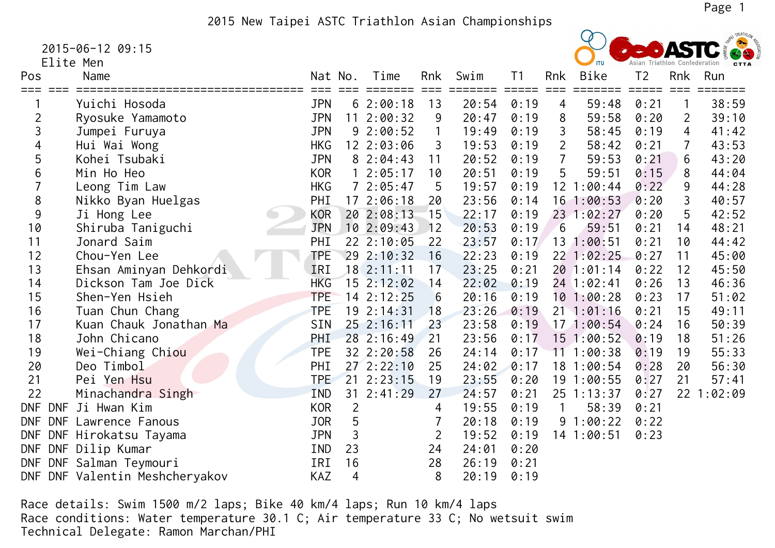2015 New Taipei ASTC Triathlon Asian Championships

2015-06-12 09:15

Elite Men

| Pos        | Name                           | Nat No.    |                | Time           | Rnk          | Swim  | T <sub>1</sub> | Rnk             | Bike           | T <sub>2</sub> | Rnk            | Run     |
|------------|--------------------------------|------------|----------------|----------------|--------------|-------|----------------|-----------------|----------------|----------------|----------------|---------|
|            |                                |            |                |                |              |       |                |                 |                |                |                |         |
|            | Yuichi Hosoda                  | <b>JPN</b> |                | 62:00:18       | 13           | 20:54 | 0:19           | 4               | 59:48          | 0:21           | $\mathbf{1}$   | 38:59   |
| 2          | Ryosuke Yamamoto               | JPN        |                | $11 \t2:00:32$ | 9            | 20:47 | 0:19           | 8               | 59:58          | 0:20           | 2              | 39:10   |
| 3          | Jumpei Furuya                  | <b>JPN</b> |                | 92:00:52       | $\mathbf{1}$ | 19:49 | 0:19           | 3               | 58:45          | 0:19           | $\overline{4}$ | 41:42   |
| 4          | Hui Wai Wong                   | <b>HKG</b> |                | 12 2:03:06     | 3            | 19:53 | 0:19           | $\overline{2}$  | 58:42          | 0:21           | $\overline{7}$ | 43:53   |
| 5          | Kohei Tsubaki                  | <b>JPN</b> |                | 82:04:43       | 11           | 20:52 | 0:19           | $\overline{7}$  | 59:53          | 0:21           | 6              | 43:20   |
| 6          | Min Ho Heo                     | <b>KOR</b> |                | 2:05:17        | 10           | 20:51 | 0:19           | 5               | 59:51          | 0:15           | 8              | 44:04   |
|            | Leong Tim Law                  | <b>HKG</b> |                | 72:05:47       | 5            | 19:57 | 0:19           |                 | 12 1:00:44     | 0:22           | 9              | 44:28   |
| 8          | Nikko Byan Huelgas             | PHI        |                | 172:06:18      | 20           | 23:56 | 0:14           |                 | 16 1:00:53     | 0:20           | 3              | 40:57   |
| 9          | Ji Hong Lee                    | KOR        |                | 202:08:13      | 15           | 22:17 | 0:19           |                 | 23 1:02:27     | 0:20           | 5              | 42:52   |
| 10         | Shiruba Taniguchi              | <b>JPN</b> |                | 102:09:43      | 12           | 20:53 | 0:19           | $6\phantom{1}6$ | 59:51          | 0:21           | 14             | 48:21   |
| 11         | Jonard Saim                    | PHI        |                | 22 2:10:05     | 22           | 23:57 | 0:17           | 13              | 1:00:51        | 0:21           | 10             | 44:42   |
| 12         | Chou-Yen Lee                   | <b>TPE</b> |                | 29 2:10:32     | 16           | 22:23 | 0:19           |                 | 22 1:02:25     | 0:27           | 11             | 45:00   |
| 13         | Ehsan Aminyan Dehkordi         | IRI        |                | $18$ 2:11:11   | 17           | 23:25 | 0:21           |                 | 201:01:14      | 0:22           | 12             | 45:50   |
| 14         | Dickson Tam Joe Dick           | <b>HKG</b> |                | $15$ $2:12:02$ | 14           | 22:02 | 0:19           |                 | $24$ 1:02:41   | 0:26           | 13             | 46:36   |
| 15         | Shen-Yen Hsieh                 | <b>TPE</b> |                | $14$ $2:12:25$ | 6            | 20:16 | 0:19           |                 | 101:00:28      | 0:23           | 17             | 51:02   |
| 16         | Tuan Chun Chang                | <b>TPE</b> |                | 19 2:14:31     | 18           | 23:26 | 0:19           |                 | $21 \t1:01:16$ | 0:21           | 15             | 49:11   |
| 17         | Kuan Chauk Jonathan Ma         | <b>SIN</b> |                | 25 2:16:11     | 23           | 23:58 | 0:19           |                 | 171:00:54      | 0:24           | 16             | 50:39   |
| 18         | John Chicano                   | <b>PHI</b> |                | 28 2:16:49     | 21           | 23:56 | 0:17           |                 | $15$ 1:00:52   | 0:19           | 18             | 51:26   |
| 19         | Wei-Chiang Chiou               | <b>TPE</b> |                | 32 2:20:58     | 26           | 24:14 | 0:17           | 11              | 1:00:38        | 0:19           | 19             | 55:33   |
| 20         | Deo Timbol                     | PHI        |                | 272:22:10      | 25           | 24:02 | 0:17           | 18              | 1:00:54        | 0:28           | 20             | 56:30   |
| 21         | Pei Yen Hsu                    | <b>TPE</b> |                | $21$ $2:23:15$ | 19           | 23:55 | 0:20           | 19              | 1:00:55        | 0:27           | 21             | 57:41   |
| 22         | Minachandra Singh              | <b>IND</b> |                | $31 \t2:41:29$ | 27           | 24:57 | 0:21           |                 | $25$ 1:13:37   | 0:27           | 22             | 1:02:09 |
| <b>DNF</b> | <b>DNF</b><br>Ji Hwan Kim      | <b>KOR</b> | $\overline{2}$ |                | 4            | 19:55 | 0:19           |                 | 58:39          | 0:21           |                |         |
| <b>DNF</b> | DNF Lawrence Fanous            | <b>JOR</b> | 5              |                |              | 20:18 | 0:19           |                 | 91:00:22       | 0:22           |                |         |
| <b>DNF</b> | DNF Hirokatsu Tayama           | JPN        | 3              |                | 2            | 19:52 | 0:19           |                 | 14 1:00:51     | 0:23           |                |         |
|            | DNF DNF Dilip Kumar            | <b>IND</b> | 23             |                | 24           | 24:01 | 0:20           |                 |                |                |                |         |
| <b>DNF</b> | DNF Salman Teymouri            | IRI        | 16             |                | 28           | 26:19 | 0:21           |                 |                |                |                |         |
|            | DNF DNF Valentin Meshcheryakov | KAZ        | $\overline{4}$ |                | 8            | 20:19 | 0:19           |                 |                |                |                |         |

 Race details: Swim 1500 m/2 laps; Bike 40 km/4 laps; Run 10 km/4 laps Race conditions: Water temperature 30.1 C; Air temperature 33 C; No wetsuit swim Technical Delegate: Ramon Marchan/PHI

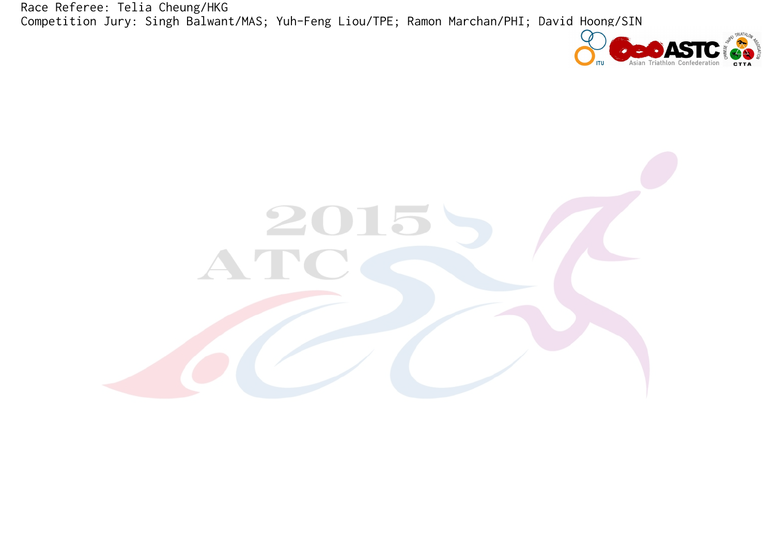Race Referee: Telia Cheung/HKG Competition Jury: Singh Balwant/MAS; Yuh-Feng Liou/TPE; Ramon Marchan/PHI; David Hoong/SIN